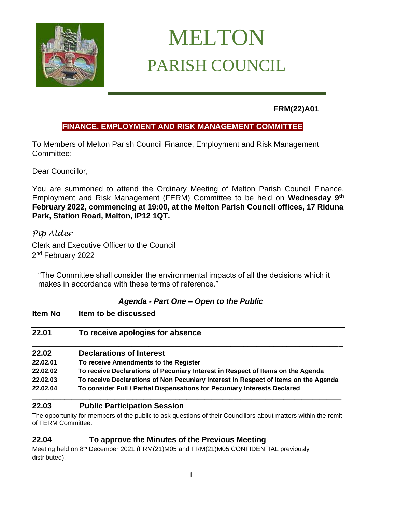

# MELTON PARISH COUNCIL

**FRM(22)A01**

# **FINANCE, EMPLOYMENT AND RISK MANAGEMENT COMMITTEE**

To Members of Melton Parish Council Finance, Employment and Risk Management Committee:

Dear Councillor,

You are summoned to attend the Ordinary Meeting of Melton Parish Council Finance, Employment and Risk Management (FERM) Committee to be held on **Wednesday 9 th February 2022, commencing at 19:00, at the Melton Parish Council offices, 17 Riduna Park, Station Road, Melton, IP12 1QT.** 

*Pip Alder* Clerk and Executive Officer to the Council 2<sup>nd</sup> February 2022

"The Committee shall consider the environmental impacts of all the decisions which it makes in accordance with these terms of reference."

# *Agenda - Part One – Open to the Public*

| ltem No  | Item to be discussed                                                                |
|----------|-------------------------------------------------------------------------------------|
| 22.01    | To receive apologies for absence                                                    |
| 22.02    | <b>Declarations of Interest</b>                                                     |
| 22.02.01 | To receive Amendments to the Register                                               |
| 22.02.02 | To receive Declarations of Pecuniary Interest in Respect of Items on the Agenda     |
| 22.02.03 | To receive Declarations of Non Pecuniary Interest in Respect of Items on the Agenda |
| 22.02.04 | To consider Full / Partial Dispensations for Pecuniary Interests Declared           |

# **22.03 Public Participation Session**

The opportunity for members of the public to ask questions of their Councillors about matters within the remit of FERM Committee. **\_\_\_\_\_\_\_\_\_\_\_\_\_\_\_\_\_\_\_\_\_\_\_\_\_\_\_\_\_\_\_\_\_\_\_\_\_\_\_\_\_\_\_\_\_\_\_\_\_\_\_\_\_\_\_\_\_\_\_\_\_\_\_\_\_\_\_\_\_\_\_\_\_\_\_\_\_\_\_\_\_\_\_\_\_\_**

# **22.04 To approve the Minutes of the Previous Meeting**

Meeting held on 8<sup>th</sup> December 2021 (FRM(21)M05 and FRM(21)M05 CONFIDENTIAL previously distributed).